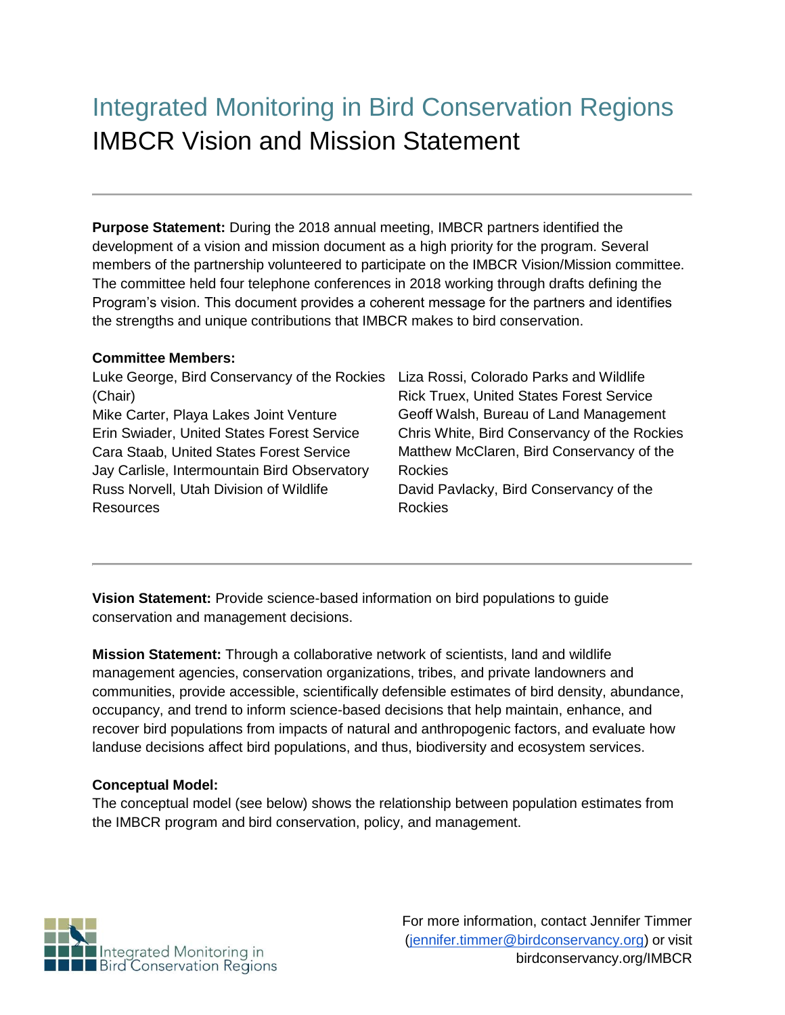# Integrated Monitoring in Bird Conservation Regions IMBCR Vision and Mission Statement

**Purpose Statement:** During the 2018 annual meeting, IMBCR partners identified the development of a vision and mission document as a high priority for the program. Several members of the partnership volunteered to participate on the IMBCR Vision/Mission committee. The committee held four telephone conferences in 2018 working through drafts defining the Program's vision. This document provides a coherent message for the partners and identifies the strengths and unique contributions that IMBCR makes to bird conservation.

#### **Committee Members:**

| Luke George, Bird Conservancy of the Rockies Liza Rossi, Colorado Parks and Wildlife<br>(Chair)<br>Mike Carter, Playa Lakes Joint Venture<br>Erin Swiader, United States Forest Service<br>Cara Staab, United States Forest Service | <b>Rick Truex, United States Forest Service</b><br>Geoff Walsh, Bureau of Land Management<br>Chris White, Bird Conservancy of the Rockies<br>Matthew McClaren, Bird Conservancy of the |
|-------------------------------------------------------------------------------------------------------------------------------------------------------------------------------------------------------------------------------------|----------------------------------------------------------------------------------------------------------------------------------------------------------------------------------------|
| Jay Carlisle, Intermountain Bird Observatory                                                                                                                                                                                        | <b>Rockies</b>                                                                                                                                                                         |
| Russ Norvell, Utah Division of Wildlife                                                                                                                                                                                             | David Pavlacky, Bird Conservancy of the                                                                                                                                                |
| <b>Resources</b>                                                                                                                                                                                                                    | <b>Rockies</b>                                                                                                                                                                         |

**Vision Statement:** Provide science-based information on bird populations to guide conservation and management decisions.

**Mission Statement:** Through a collaborative network of scientists, land and wildlife management agencies, conservation organizations, tribes, and private landowners and communities, provide accessible, scientifically defensible estimates of bird density, abundance, occupancy, and trend to inform science-based decisions that help maintain, enhance, and recover bird populations from impacts of natural and anthropogenic factors, and evaluate how landuse decisions affect bird populations, and thus, biodiversity and ecosystem services.

#### **Conceptual Model:**

The conceptual model (see below) shows the relationship between population estimates from the IMBCR program and bird conservation, policy, and management.

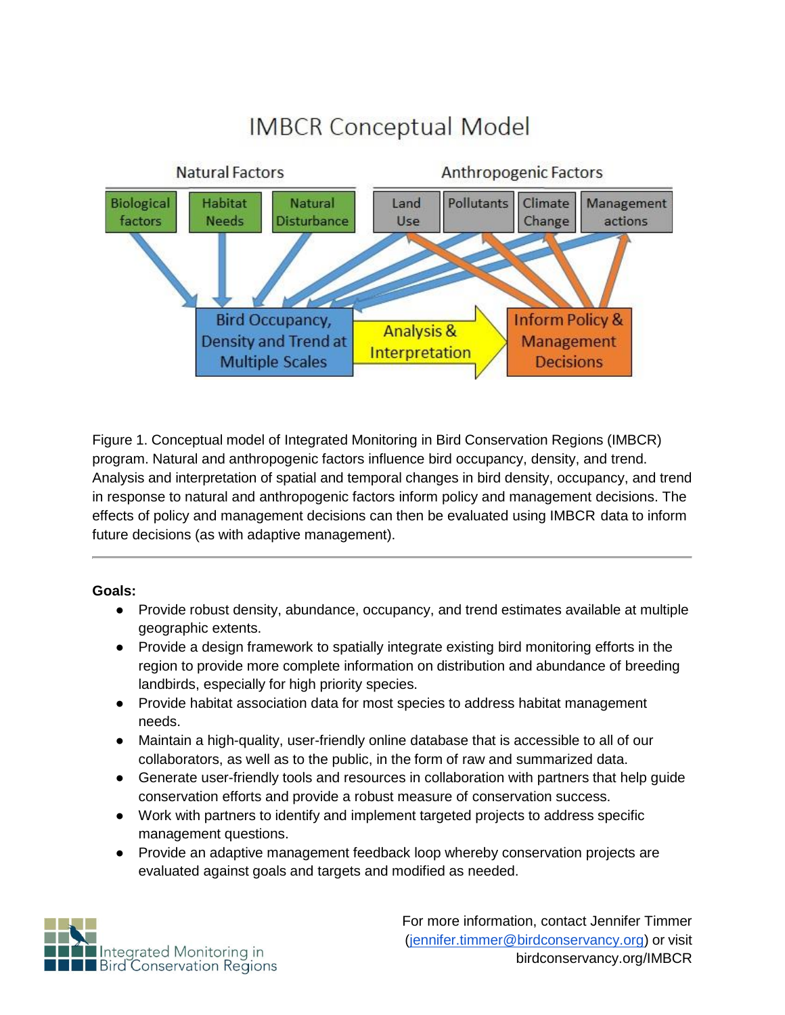# **IMBCR Conceptual Model**



Figure 1. Conceptual model of Integrated Monitoring in Bird Conservation Regions (IMBCR) program. Natural and anthropogenic factors influence bird occupancy, density, and trend. Analysis and interpretation of spatial and temporal changes in bird density, occupancy, and trend in response to natural and anthropogenic factors inform policy and management decisions. The effects of policy and management decisions can then be evaluated using IMBCR data to inform future decisions (as with adaptive management).

#### **Goals:**

- Provide robust density, abundance, occupancy, and trend estimates available at multiple geographic extents.
- Provide a design framework to spatially integrate existing bird monitoring efforts in the region to provide more complete information on distribution and abundance of breeding landbirds, especially for high priority species.
- Provide habitat association data for most species to address habitat management needs.
- Maintain a high-quality, user-friendly online database that is accessible to all of our collaborators, as well as to the public, in the form of raw and summarized data.
- Generate user-friendly tools and resources in collaboration with partners that help guide conservation efforts and provide a robust measure of conservation success.
- Work with partners to identify and implement targeted projects to address specific management questions.
- Provide an adaptive management feedback loop whereby conservation projects are evaluated against goals and targets and modified as needed.

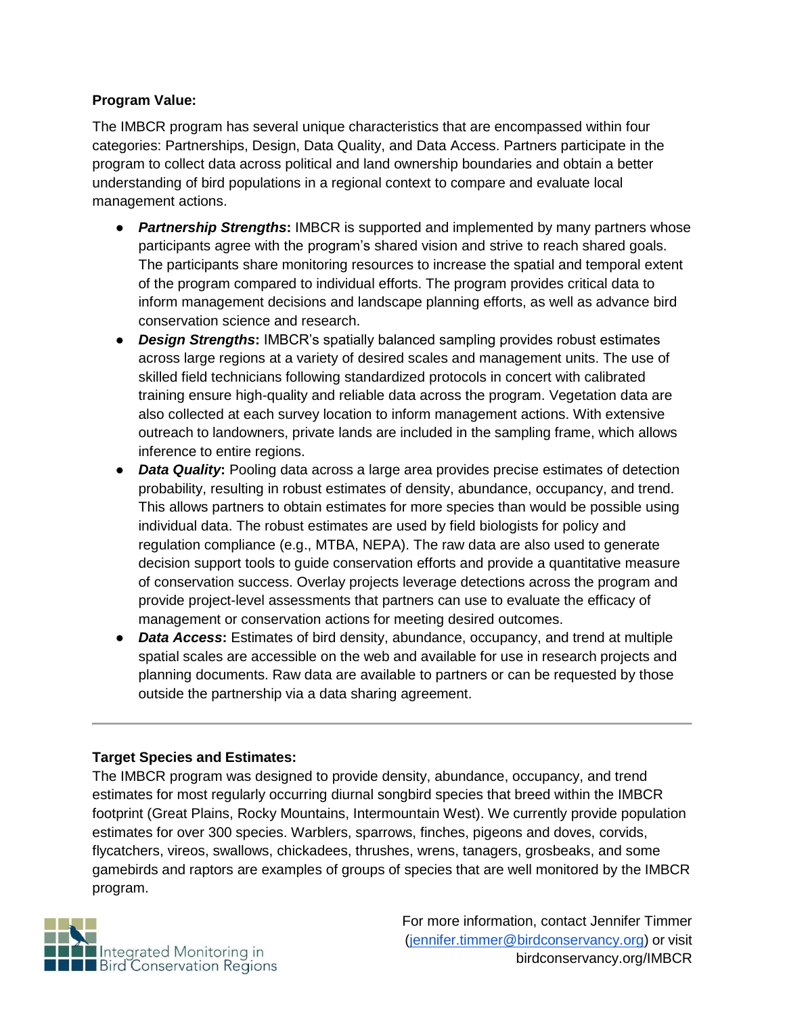#### **Program Value:**

The IMBCR program has several unique characteristics that are encompassed within four categories: Partnerships, Design, Data Quality, and Data Access. Partners participate in the program to collect data across political and land ownership boundaries and obtain a better understanding of bird populations in a regional context to compare and evaluate local management actions.

- *Partnership Strengths***:** IMBCR is supported and implemented by many partners whose participants agree with the program's shared vision and strive to reach shared goals. The participants share monitoring resources to increase the spatial and temporal extent of the program compared to individual efforts. The program provides critical data to inform management decisions and landscape planning efforts, as well as advance bird conservation science and research.
- *Design Strengths***:** IMBCR's spatially balanced sampling provides robust estimates across large regions at a variety of desired scales and management units. The use of skilled field technicians following standardized protocols in concert with calibrated training ensure high-quality and reliable data across the program. Vegetation data are also collected at each survey location to inform management actions. With extensive outreach to landowners, private lands are included in the sampling frame, which allows inference to entire regions.
- *Data Quality***:** Pooling data across a large area provides precise estimates of detection probability, resulting in robust estimates of density, abundance, occupancy, and trend. This allows partners to obtain estimates for more species than would be possible using individual data. The robust estimates are used by field biologists for policy and regulation compliance (e.g., MTBA, NEPA). The raw data are also used to generate decision support tools to guide conservation efforts and provide a quantitative measure of conservation success. Overlay projects leverage detections across the program and provide project-level assessments that partners can use to evaluate the efficacy of management or conservation actions for meeting desired outcomes.
- *Data Access***:** Estimates of bird density, abundance, occupancy, and trend at multiple spatial scales are accessible on the web and available for use in research projects and planning documents. Raw data are available to partners or can be requested by those outside the partnership via a data sharing agreement.

#### **Target Species and Estimates:**

The IMBCR program was designed to provide density, abundance, occupancy, and trend estimates for most regularly occurring diurnal songbird species that breed within the IMBCR footprint (Great Plains, Rocky Mountains, Intermountain West). We currently provide population estimates for over 300 species. Warblers, sparrows, finches, pigeons and doves, corvids, flycatchers, vireos, swallows, chickadees, thrushes, wrens, tanagers, grosbeaks, and some gamebirds and raptors are examples of groups of species that are well monitored by the IMBCR program.

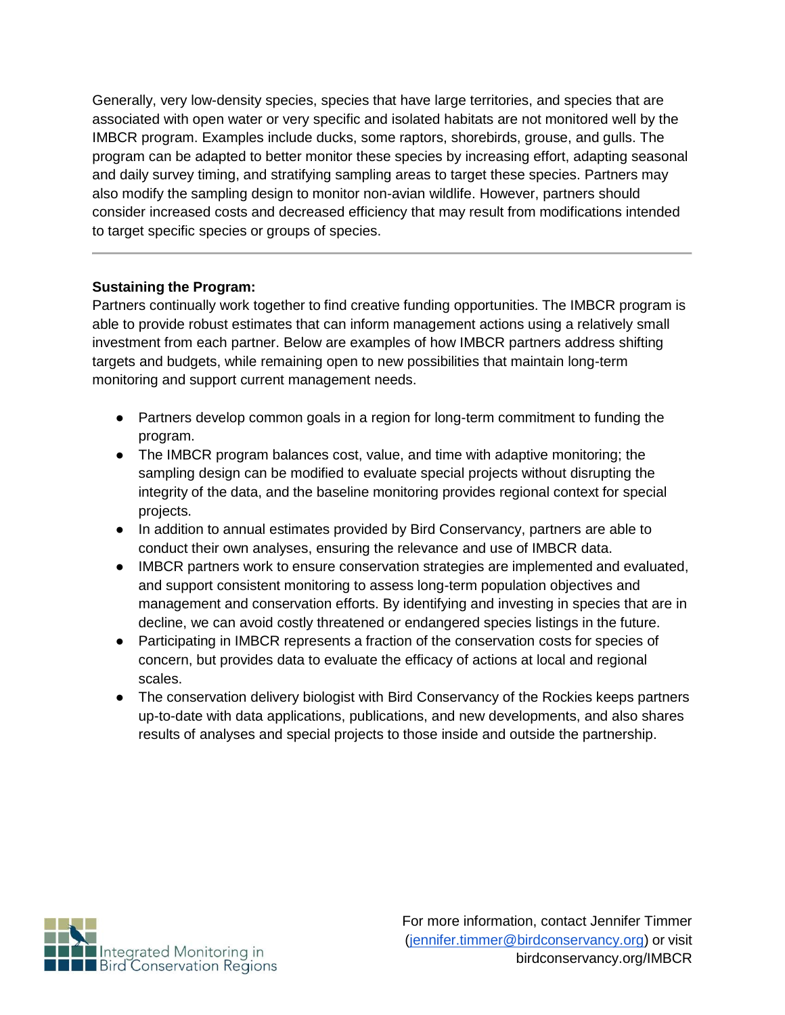Generally, very low-density species, species that have large territories, and species that are associated with open water or very specific and isolated habitats are not monitored well by the IMBCR program. Examples include ducks, some raptors, shorebirds, grouse, and gulls. The program can be adapted to better monitor these species by increasing effort, adapting seasonal and daily survey timing, and stratifying sampling areas to target these species. Partners may also modify the sampling design to monitor non-avian wildlife. However, partners should consider increased costs and decreased efficiency that may result from modifications intended to target specific species or groups of species.

#### **Sustaining the Program:**

Partners continually work together to find creative funding opportunities. The IMBCR program is able to provide robust estimates that can inform management actions using a relatively small investment from each partner. Below are examples of how IMBCR partners address shifting targets and budgets, while remaining open to new possibilities that maintain long-term monitoring and support current management needs.

- Partners develop common goals in a region for long-term commitment to funding the program.
- The IMBCR program balances cost, value, and time with adaptive monitoring; the sampling design can be modified to evaluate special projects without disrupting the integrity of the data, and the baseline monitoring provides regional context for special projects.
- In addition to annual estimates provided by Bird Conservancy, partners are able to conduct their own analyses, ensuring the relevance and use of IMBCR data.
- IMBCR partners work to ensure conservation strategies are implemented and evaluated, and support consistent monitoring to assess long-term population objectives and management and conservation efforts. By identifying and investing in species that are in decline, we can avoid costly threatened or endangered species listings in the future.
- Participating in IMBCR represents a fraction of the conservation costs for species of concern, but provides data to evaluate the efficacy of actions at local and regional scales.
- The conservation delivery biologist with Bird Conservancy of the Rockies keeps partners up-to-date with data applications, publications, and new developments, and also shares results of analyses and special projects to those inside and outside the partnership.